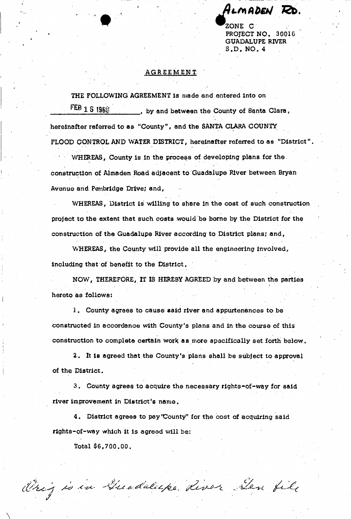• #

PROJECT NO. 30016 GUADALUPE RIVER S.D. NO. 4

## AGREEMENT

THE FOLLOWING AGREEMENT is made and entered into on  $\overline{fEB}$  1 S 198 $\hat{y}$  by and between the County of Santa Clara, hereinafter referred to as "County", and the SANTA CLARA COUNTY

FLOOD CONTROL AND WATER DISTRICT, hereinafter referred to as "District"

WHEREAS, County is in the process of developing plans for the *\** • construction of Almaden Road adjacent to Guadalupe River between Bryan construction of Almaden Road adjacent to Guadalupe River between Bryan Avenue and Pembridge Drive; and, Avenue and Pembridge Drive; and,

WHEREAS, District is willing to share in the cost of such construction Whereas,  $\mathcal{D}_{\text{max}}$  is the cost of such cost of such construction of such construction  $\mathcal{D}_{\text{max}}$ project to the extent that such costs would be borne by the District for the project to the extent that such costs would be borne by the District for the construction of the Guadalupe River according to District plans; and,

WHEREAS, the County will provide all the engineering involved,  $W_{\rm eff}$  is contributed, the County will provide all the engineering involved, the engineering involved,  $W_{\rm eff}$ including that of benefit to the District. including that of benefits to the District. The District to the District to the District.

construction of the Guadalupe River according to District plans; and,

NOW, THEREFORE, IT IS HEREBY AGREED by and between the parties  $N_{\rm eff}$  is the parties of the parties of the parties of the parties of the parties of the parties of the parties of the parties of the parties of the parties of the parties of the parties of the parties of the parties of hereto as follows:

1. County agrees to cause said river and appurtenances to be 1. County agrees to cause said river and appurtenances to be constructed in accordance with County's plans and in the course of this constructed in accordance with County's plans and in the course of this

2. It is agreed that the County's plans shall be subject to approval of the District.

construction to complete certain worH a a more specifically set forth below,

 $\mathcal{S}_\mathcal{S}$  , County agrees to accuracy rights-of-way for said  $\mathcal{S}_\mathcal{S}$ 

 $\mathcal{A}=\mathcal{A}$  ,  $\mathcal{A}=\mathcal{A}$  ,  $\mathcal{A}=\mathcal{A}$  , and actually pay  $\mathcal{A}=\mathcal{A}$  , and actually paid paid  $\mathcal{A}$ 

Origio in Guaddeipe River Den file

Total \$6,700.00.

river improvement in District's name,

rights-of-way which it is agreed will be:

of the District.